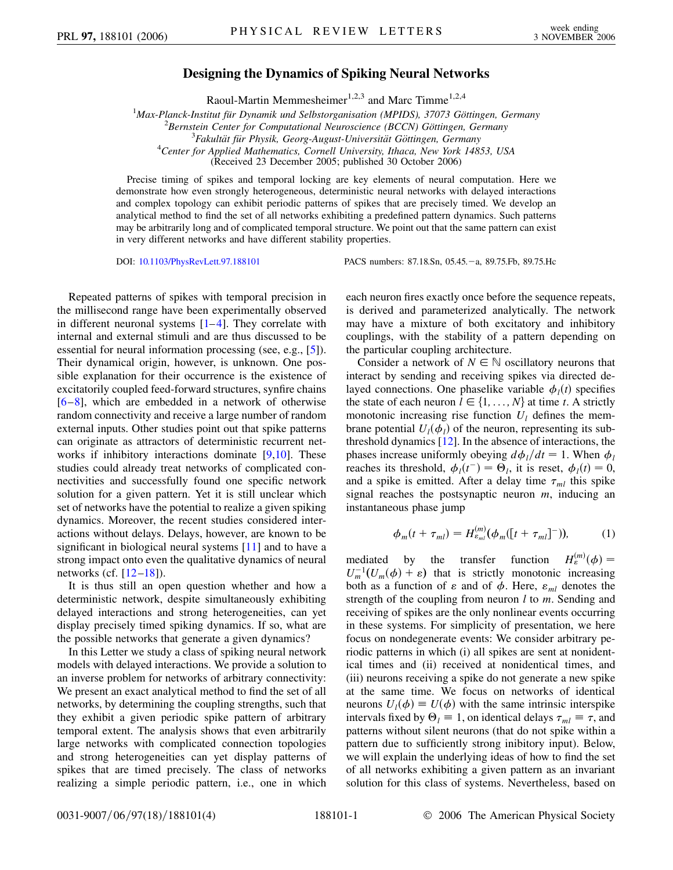## **Designing the Dynamics of Spiking Neural Networks**

Raoul-Martin Memmesheimer<sup>1,2,3</sup> and Marc Timme<sup>1,2,4</sup>

<sup>1</sup> Max-Planck-Institut für Dynamik und Selbstorganisation (MPIDS), 37073 Göttingen, Germany<br><sup>2</sup> Bernstein Center for Computational Neuroscience (BCCN) Göttingen, Germany

<sup>2</sup> Bernstein Center for Computational Neuroscience (BCCN) Göttingen, Germany

<sup>3</sup> Fakultät für Physik, Georg-August-Universität Göttingen, Germany

*Center for Applied Mathematics, Cornell University, Ithaca, New York 14853, USA*

(Received 23 December 2005; published 30 October 2006)

Precise timing of spikes and temporal locking are key elements of neural computation. Here we demonstrate how even strongly heterogeneous, deterministic neural networks with delayed interactions and complex topology can exhibit periodic patterns of spikes that are precisely timed. We develop an analytical method to find the set of all networks exhibiting a predefined pattern dynamics. Such patterns may be arbitrarily long and of complicated temporal structure. We point out that the same pattern can exist in very different networks and have different stability properties.

DOI: [10.1103/PhysRevLett.97.188101](http://dx.doi.org/10.1103/PhysRevLett.97.188101) PACS numbers: 87.18.Sn, 05.45. - a, 89.75.Fb, 89.75.Hc

Repeated patterns of spikes with temporal precision in the millisecond range have been experimentally observed in different neuronal systems  $[1-4]$  $[1-4]$  $[1-4]$ . They correlate with internal and external stimuli and are thus discussed to be essential for neural information processing (see, e.g., [\[5](#page-3-2)]). Their dynamical origin, however, is unknown. One possible explanation for their occurrence is the existence of excitatorily coupled feed-forward structures, synfire chains  $[6-8]$  $[6-8]$  $[6-8]$ , which are embedded in a network of otherwise random connectivity and receive a large number of random external inputs. Other studies point out that spike patterns can originate as attractors of deterministic recurrent net-works if inhibitory interactions dominate [\[9,](#page-3-5)[10\]](#page-3-6). These studies could already treat networks of complicated connectivities and successfully found one specific network solution for a given pattern. Yet it is still unclear which set of networks have the potential to realize a given spiking dynamics. Moreover, the recent studies considered interactions without delays. Delays, however, are known to be significant in biological neural systems [[11](#page-3-7)] and to have a strong impact onto even the qualitative dynamics of neural networks (cf.  $[12-18]$  $[12-18]$  $[12-18]$  $[12-18]$ ).

It is thus still an open question whether and how a deterministic network, despite simultaneously exhibiting delayed interactions and strong heterogeneities, can yet display precisely timed spiking dynamics. If so, what are the possible networks that generate a given dynamics?

In this Letter we study a class of spiking neural network models with delayed interactions. We provide a solution to an inverse problem for networks of arbitrary connectivity: We present an exact analytical method to find the set of all networks, by determining the coupling strengths, such that they exhibit a given periodic spike pattern of arbitrary temporal extent. The analysis shows that even arbitrarily large networks with complicated connection topologies and strong heterogeneities can yet display patterns of spikes that are timed precisely. The class of networks realizing a simple periodic pattern, i.e., one in which each neuron fires exactly once before the sequence repeats, is derived and parameterized analytically. The network may have a mixture of both excitatory and inhibitory couplings, with the stability of a pattern depending on the particular coupling architecture.

Consider a network of  $N \in \mathbb{N}$  oscillatory neurons that interact by sending and receiving spikes via directed delayed connections. One phaselike variable  $\phi_i(t)$  specifies the state of each neuron  $l \in \{1, \ldots, N\}$  at time *t*. A strictly monotonic increasing rise function  $U_l$  defines the membrane potential  $U_l(\phi_l)$  of the neuron, representing its subthreshold dynamics [\[12\]](#page-3-8). In the absence of interactions, the phases increase uniformly obeying  $d\phi_l/dt = 1$ . When  $\phi_l$ reaches its threshold,  $\phi_l(t^-) = \Theta_l$ , it is reset,  $\phi_l(t) = 0$ , and a spike is emitted. After a delay time  $\tau_{ml}$  this spike signal reaches the postsynaptic neuron *m*, inducing an instantaneous phase jump

$$
\phi_m(t + \tau_{ml}) = H_{\varepsilon_{ml}}^{(m)}(\phi_m([t + \tau_{ml}]^-)), \tag{1}
$$

mediated by the transfer function  $H_{\varepsilon}^{(m)}(\phi) =$  $U_m^{-1}(U_m(\phi) + \varepsilon)$  that is strictly monotonic increasing both as a function of  $\varepsilon$  and of  $\phi$ . Here,  $\varepsilon_{ml}$  denotes the strength of the coupling from neuron *l* to *m*. Sending and receiving of spikes are the only nonlinear events occurring in these systems. For simplicity of presentation, we here focus on nondegenerate events: We consider arbitrary periodic patterns in which (i) all spikes are sent at nonidentical times and (ii) received at nonidentical times, and (iii) neurons receiving a spike do not generate a new spike at the same time. We focus on networks of identical neurons  $U_l(\phi) \equiv U(\phi)$  with the same intrinsic interspike intervals fixed by  $\Theta_l \equiv 1$ , on identical delays  $\tau_{ml} \equiv \tau$ , and patterns without silent neurons (that do not spike within a pattern due to sufficiently strong inibitory input). Below, we will explain the underlying ideas of how to find the set of all networks exhibiting a given pattern as an invariant solution for this class of systems. Nevertheless, based on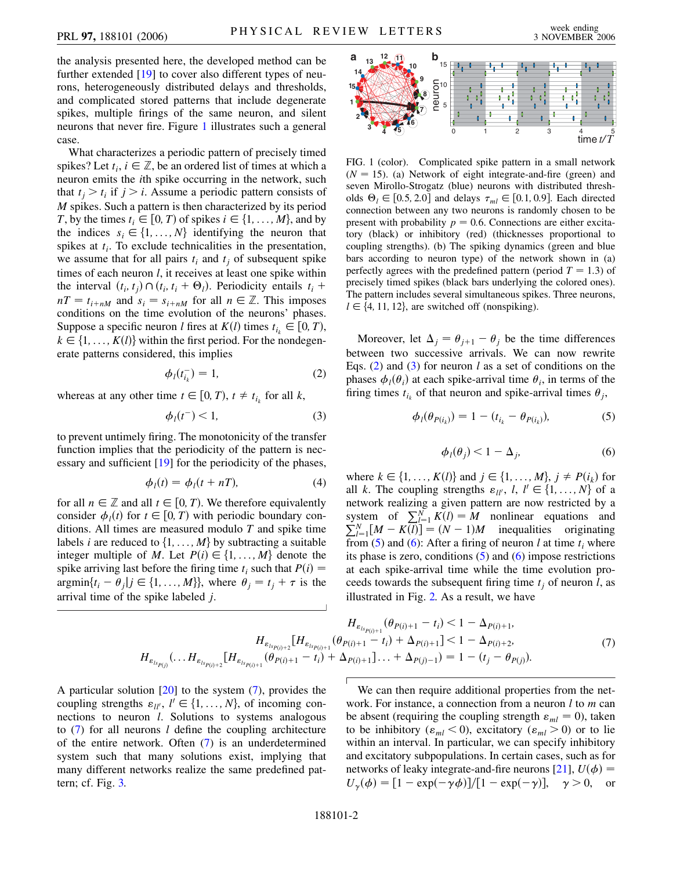the analysis presented here, the developed method can be further extended [[19](#page-3-10)] to cover also different types of neurons, heterogeneously distributed delays and thresholds, and complicated stored patterns that include degenerate spikes, multiple firings of the same neuron, and silent neurons that never fire. Figure [1](#page-1-0) illustrates such a general case.

What characterizes a periodic pattern of precisely timed spikes? Let  $t_i$ ,  $i \in \mathbb{Z}$ , be an ordered list of times at which a neuron emits the *i*th spike occurring in the network, such that  $t_i > t_i$  if  $j > i$ . Assume a periodic pattern consists of *M* spikes. Such a pattern is then characterized by its period *T*, by the times  $t_i \in [0, T)$  of spikes  $i \in \{1, \ldots, M\}$ , and by the indices  $s_i \in \{1, \ldots, N\}$  identifying the neuron that spikes at  $t_i$ . To exclude technicalities in the presentation, we assume that for all pairs  $t_i$  and  $t_j$  of subsequent spike times of each neuron *l*, it receives at least one spike within the interval  $(t_i, t_j) \cap (t_i, t_i + \Theta_l)$ . Periodicity entails  $t_i$  +  $nT = t_{i+nM}$  and  $s_i = s_{i+nM}$  for all  $n \in \mathbb{Z}$ . This imposes conditions on the time evolution of the neurons' phases. Suppose a specific neuron *l* fires at  $K(l)$  times  $t_{i_k} \in [0, T)$ ,  $k \in \{1, \ldots, K(l)\}$  within the first period. For the nondegenerate patterns considered, this implies

$$
\phi_l(t_{i_k}^-) = 1,\tag{2}
$$

<span id="page-1-2"></span><span id="page-1-1"></span>whereas at any other time  $t \in [0, T)$ ,  $t \neq t_{i_k}$  for all *k*,

$$
\phi_l(t^-) < 1,\tag{3}
$$

to prevent untimely firing. The monotonicity of the transfer function implies that the periodicity of the pattern is necessary and sufficient [[19](#page-3-10)] for the periodicity of the phases,

$$
\phi_l(t) = \phi_l(t + nT), \tag{4}
$$

<span id="page-1-6"></span>for all  $n \in \mathbb{Z}$  and all  $t \in [0, T)$ . We therefore equivalently consider  $\phi_i(t)$  for  $t \in [0, T)$  with periodic boundary conditions. All times are measured modulo *T* and spike time labels *i* are reduced to  $\{1, \ldots, M\}$  by subtracting a suitable integer multiple of *M*. Let  $P(i) \in \{1, \ldots, M\}$  denote the spike arriving last before the firing time  $t_i$  such that  $P(i) =$  $\argmin\{t_i - \theta_j | j \in \{1, ..., M\}\}\$ , where  $\theta_j = t_j + \tau$  is the arrival time of the spike labeled *j*.

<span id="page-1-0"></span>

FIG. 1 (color). Complicated spike pattern in a small network  $(N = 15)$ . (a) Network of eight integrate-and-fire (green) and seven Mirollo-Strogatz (blue) neurons with distributed thresholds  $\Theta_l \in [0.5, 2.0]$  and delays  $\tau_{ml} \in [0.1, 0.9]$ . Each directed connection between any two neurons is randomly chosen to be present with probability  $p = 0.6$ . Connections are either excitatory (black) or inhibitory (red) (thicknesses proportional to coupling strengths). (b) The spiking dynamics (green and blue bars according to neuron type) of the network shown in (a) perfectly agrees with the predefined pattern (period  $T = 1.3$ ) of precisely timed spikes (black bars underlying the colored ones). The pattern includes several simultaneous spikes. Three neurons,  $l \in \{4, 11, 12\}$ , are switched off (nonspiking).

<span id="page-1-3"></span>Moreover, let  $\Delta_j = \theta_{j+1} - \theta_j$  be the time differences between two successive arrivals. We can now rewrite Eqs. ([2](#page-1-1)) and ([3\)](#page-1-2) for neuron *l* as a set of conditions on the phases  $\phi_i(\theta_i)$  at each spike-arrival time  $\theta_i$ , in terms of the firing times  $t_{i_k}$  of that neuron and spike-arrival times  $\theta_i$ ,

$$
\phi_l(\theta_{P(i_k)}) = 1 - (t_{i_k} - \theta_{P(i_k)}),
$$
\n(5)

$$
\phi_l(\theta_j) < 1 - \Delta_j,\tag{6}
$$

<span id="page-1-4"></span>where  $k \in \{1, ..., K(l)\}$  and  $j \in \{1, ..., M\}$ ,  $j \neq P(i_k)$  for all *k*. The coupling strengths  $\varepsilon_{ll'}$ , *l*,  $l' \in \{1, ..., N\}$  of a network realizing a given pattern are now restricted by a system of  $\sum_{l=1}^{N} K(l) = M$  nonlinear equations and  $\sum_{l=1}^{N} [M - K(l)] = (N - 1)M$  inequalities originating from  $(5)$  and  $(6)$  $(6)$  $(6)$ : After a firing of neuron *l* at time  $t_i$  where its phase is zero, conditions  $(5)$  $(5)$  and  $(6)$  $(6)$  impose restrictions at each spike-arrival time while the time evolution proceeds towards the subsequent firing time  $t_i$  of neuron *l*, as illustrated in Fig. [2.](#page-2-0) As a result, we have

$$
H_{\varepsilon_{ls_{P(i)+1}}}(\theta_{P(i)+1} - t_i) < 1 - \Delta_{P(i)+1},
$$
\n
$$
H_{\varepsilon_{ls_{P(i)+2}}}[H_{\varepsilon_{ls_{P(i)+1}}}(\theta_{P(i)+1} - t_i) + \Delta_{P(i)+1}] < 1 - \Delta_{P(i)+2},
$$
\n
$$
H_{\varepsilon_{ls_{P(j)}}}(\ldots H_{\varepsilon_{ls_{P(i)+2}}}[H_{\varepsilon_{ls_{P(i)+1}}}(\theta_{P(i)+1} - t_i) + \Delta_{P(i)+1}]\ldots + \Delta_{P(j)-1}) = 1 - (t_j - \theta_{P(j)}).
$$
\n
$$
(7)
$$

<span id="page-1-5"></span>A particular solution [[20](#page-3-11)] to the system ([7\)](#page-1-5), provides the coupling strengths  $\varepsilon_{ll'}$ ,  $l' \in \{1, ..., N\}$ , of incoming connections to neuron *l*. Solutions to systems analogous to [\(7](#page-1-5)) for all neurons *l* define the coupling architecture of the entire network. Often ([7](#page-1-5)) is an underdetermined system such that many solutions exist, implying that many different networks realize the same predefined pattern; cf. Fig. [3.](#page-2-1)

We can then require additional properties from the network. For instance, a connection from a neuron *l* to *m* can be absent (requiring the coupling strength  $\varepsilon_{ml} = 0$ ), taken to be inhibitory ( $\varepsilon_{ml}$  < 0), excitatory ( $\varepsilon_{ml}$  > 0) or to lie within an interval. In particular, we can specify inhibitory and excitatory subpopulations. In certain cases, such as for networks of leaky integrate-and-fire neurons [\[21\]](#page-3-12),  $U(\phi)$  =  $U_{\gamma}(\phi) = [1 - \exp(-\gamma \phi)]/[1 - \exp(-\gamma)], \quad \gamma > 0, \text{ or}$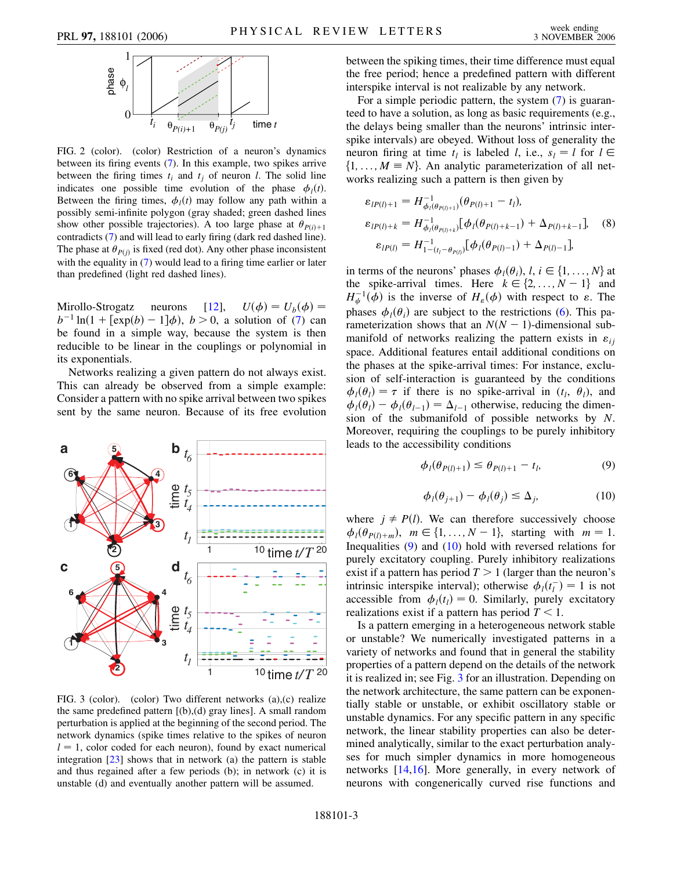<span id="page-2-0"></span>

FIG. 2 (color). (color) Restriction of a neuron's dynamics between its firing events ([7](#page-1-5)). In this example, two spikes arrive between the firing times  $t_i$  and  $t_j$  of neuron *l*. The solid line indicates one possible time evolution of the phase  $\phi_l(t)$ . Between the firing times,  $\phi_l(t)$  may follow any path within a possibly semi-infinite polygon (gray shaded; green dashed lines show other possible trajectories). A too large phase at  $\theta_{P(i)+1}$ contradicts ([7\)](#page-1-5) and will lead to early firing (dark red dashed line). The phase at  $\theta_{P(j)}$  is fixed (red dot). Any other phase inconsistent with the equality in ([7](#page-1-5)) would lead to a firing time earlier or later than predefined (light red dashed lines).

Mirollo-Strogatz neurons [[12](#page-3-8)],  $\phi$ ) =  $U_b(\phi)$  =  $b^{-1} \ln(1 + [\exp(b) - 1]\phi)$ ,  $b > 0$ , a solution of ([7](#page-1-5)) can be found in a simple way, because the system is then reducible to be linear in the couplings or polynomial in its exponentials.

Networks realizing a given pattern do not always exist. This can already be observed from a simple example: Consider a pattern with no spike arrival between two spikes sent by the same neuron. Because of its free evolution

<span id="page-2-1"></span>

FIG. 3 (color). (color) Two different networks (a),(c) realize the same predefined pattern [(b),(d) gray lines]. A small random perturbation is applied at the beginning of the second period. The network dynamics (spike times relative to the spikes of neuron  $l = 1$ , color coded for each neuron), found by exact numerical integration  $[23]$  $[23]$  $[23]$  shows that in network (a) the pattern is stable and thus regained after a few periods (b); in network (c) it is unstable (d) and eventually another pattern will be assumed.

between the spiking times, their time difference must equal the free period; hence a predefined pattern with different interspike interval is not realizable by any network.

For a simple periodic pattern, the system [\(7](#page-1-5)) is guaranteed to have a solution, as long as basic requirements (e.g., the delays being smaller than the neurons' intrinsic interspike intervals) are obeyed. Without loss of generality the neuron firing at time  $t_l$  is labeled *l*, i.e.,  $s_l = l$  for  $l \in$  $\{1, \ldots, M \equiv N\}$ . An analytic parameterization of all networks realizing such a pattern is then given by

$$
\varepsilon_{lP(l)+1} = H_{\phi_l(\theta_{P(l)+1})}^{-1}(\theta_{P(l)+1} - t_l),
$$
  
\n
$$
\varepsilon_{lP(l)+k} = H_{\phi_l(\theta_{P(l)+k})}^{-1}[\phi_l(\theta_{P(l)+k-1}) + \Delta_{P(l)+k-1}],
$$
 (8)  
\n
$$
\varepsilon_{lP(l)} = H_{1-(t_l-\theta_{P(l)})}^{-1}[\phi_l(\theta_{P(l)-1}) + \Delta_{P(l)-1}],
$$

in terms of the neurons' phases  $\phi_i(\theta_i)$ ,  $l, i \in \{1, ..., N\}$  at the spike-arrival times. Here  $k \in \{2, \ldots, N-1\}$  and  $H^{-1}_{\psi}(\phi)$  is the inverse of  $H_{\varepsilon}(\phi)$  with respect to  $\varepsilon$ . The phases  $\phi_i(\theta_i)$  are subject to the restrictions [\(6](#page-1-4)). This parameterization shows that an  $N(N - 1)$ -dimensional submanifold of networks realizing the pattern exists in  $\varepsilon_{ij}$ space. Additional features entail additional conditions on the phases at the spike-arrival times: For instance, exclusion of self-interaction is guaranteed by the conditions  $\phi_l(\theta_l) = \tau$  if there is no spike-arrival in  $(t_l, \theta_l)$ , and  $\phi_l(\theta_l) - \phi_l(\theta_{l-1}) = \Delta_{l-1}$  otherwise, reducing the dimension of the submanifold of possible networks by *N*. Moreover, requiring the couplings to be purely inhibitory leads to the accessibility conditions

$$
\phi_l(\theta_{P(l)+1}) \le \theta_{P(l)+1} - t_l, \tag{9}
$$

$$
\phi_l(\theta_{j+1}) - \phi_l(\theta_j) \le \Delta_j,\tag{10}
$$

<span id="page-2-3"></span><span id="page-2-2"></span>where  $j \neq P(l)$ . We can therefore successively choose  $\phi_l(\theta_{P(l)+m}), \ m \in \{1, \ldots, N-1\}, \text{ starting with } m=1.$ Inequalities [\(9](#page-2-2)) and [\(10\)](#page-2-3) hold with reversed relations for purely excitatory coupling. Purely inhibitory realizations exist if a pattern has period  $T > 1$  (larger than the neuron's intrinsic interspike interval); otherwise  $\phi_l(t_l^-) = 1$  is not accessible from  $\phi_l(t_l) = 0$ . Similarly, purely excitatory realizations exist if a pattern has period *T <* 1.

Is a pattern emerging in a heterogeneous network stable or unstable? We numerically investigated patterns in a variety of networks and found that in general the stability properties of a pattern depend on the details of the network it is realized in; see Fig. [3](#page-2-1) for an illustration. Depending on the network architecture, the same pattern can be exponentially stable or unstable, or exhibit oscillatory stable or unstable dynamics. For any specific pattern in any specific network, the linear stability properties can also be determined analytically, similar to the exact perturbation analyses for much simpler dynamics in more homogeneous networks [[14](#page-3-13),[16](#page-3-14)]. More generally, in every network of neurons with congenerically curved rise functions and